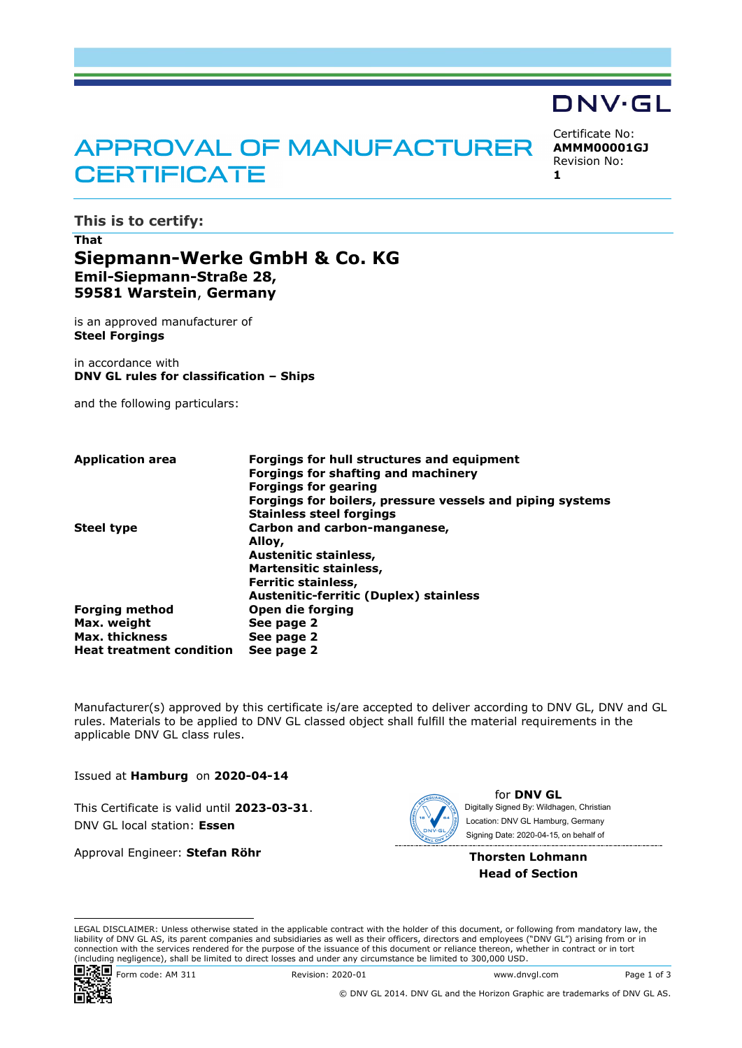# **APPROVAL OF MANUFACTURER CERTIFICATE**

Certificate No: **AMMM00001GJ** Revision No:

DNV·GL

**1**

**This is to certify:**

# **That Siepmann-Werke GmbH & Co. KG Emil-Siepmann-Straße 28, 59581 Warstein**, **Germany**

is an approved manufacturer of **Steel Forgings**

in accordance with **DNV GL rules for classification – Ships**

and the following particulars:

| <b>Application area</b>         | Forgings for hull structures and equipment                |
|---------------------------------|-----------------------------------------------------------|
|                                 | <b>Forgings for shafting and machinery</b>                |
|                                 | <b>Forgings for gearing</b>                               |
|                                 | Forgings for boilers, pressure vessels and piping systems |
|                                 | <b>Stainless steel forgings</b>                           |
| <b>Steel type</b>               | Carbon and carbon-manganese,                              |
|                                 | Alloy,                                                    |
|                                 | Austenitic stainless,                                     |
|                                 | <b>Martensitic stainless,</b>                             |
|                                 | Ferritic stainless,                                       |
|                                 | <b>Austenitic-ferritic (Duplex) stainless</b>             |
| <b>Forging method</b>           | Open die forging                                          |
| Max. weight                     | See page 2                                                |
| Max. thickness                  | See page 2                                                |
| <b>Heat treatment condition</b> | See page 2                                                |

Manufacturer(s) approved by this certificate is/are accepted to deliver according to DNV GL, DNV and GL rules. Materials to be applied to DNV GL classed object shall fulfill the material requirements in the applicable DNV GL class rules.

Issued at **Hamburg** on **2020-04-14**

This Certificate is valid until **2023-03-31**. DNV GL local station: **Essen**

Approval Engineer: **Stefan Röhr**



for **DNV GL** Signing Date: 2020-04-15 , on behalf ofDigitally Signed By: Wildhagen, Christian Location: DNV GL Hamburg, Germany

**Thorsten Lohmann Head of Section**

LEGAL DISCLAIMER: Unless otherwise stated in the applicable contract with the holder of this document, or following from mandatory law, the liability of DNV GL AS, its parent companies and subsidiaries as well as their officers, directors and employees ("DNV GL") arising from or in connection with the services rendered for the purpose of the issuance of this document or reliance thereon, whether in contract or in tort (including negligence), shall be limited to direct losses and under any circumstance be limited to 300,000 USD.



Form code: AM 311 Revision: 2020-01 www.dnvgl.com Page 1 of 3

© DNV GL 2014. DNV GL and the Horizon Graphic are trademarks of DNV GL AS.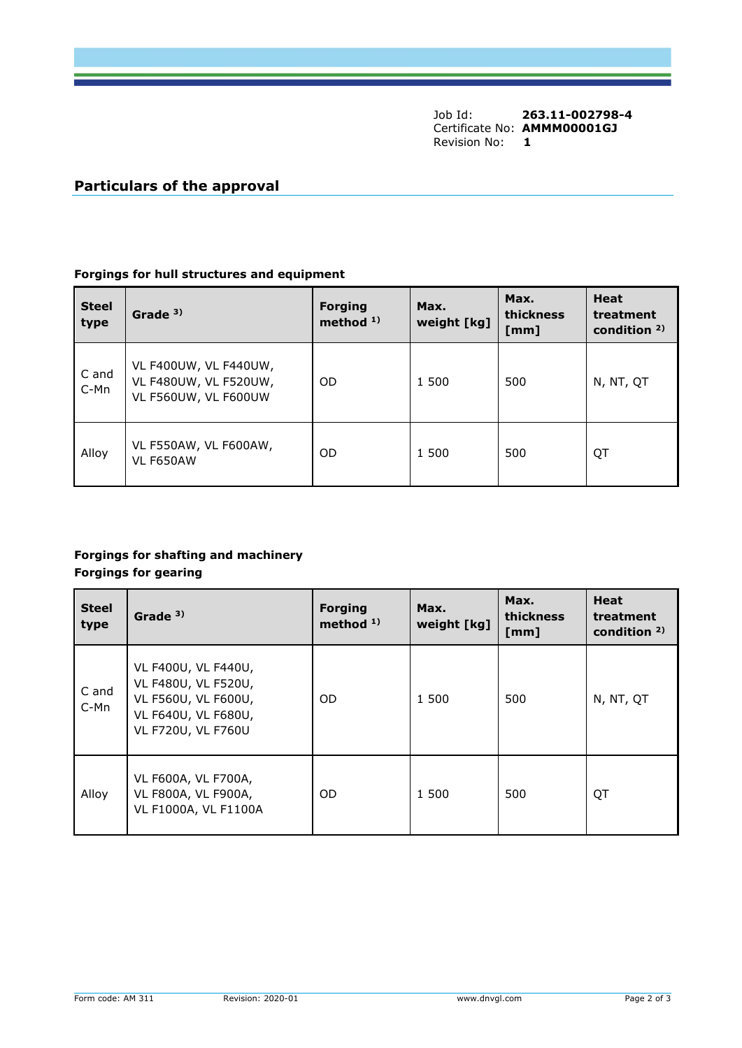Job Id: **263.11-002798-4** Certificate No: **AMMM00001GJ** Revision No: **1**

# **Particulars of the approval**

### **Forgings for hull structures and equipment**

| <b>Steel</b><br>type | Grade <sup>3)</sup>                                                    | <b>Forging</b><br>method $1$ ) | Max.<br>weight [kg] | Max.<br>thickness<br>[mm] | <b>Heat</b><br>treatment<br>condition $2$ ) |
|----------------------|------------------------------------------------------------------------|--------------------------------|---------------------|---------------------------|---------------------------------------------|
| C and<br>C-Mn        | VL F400UW, VL F440UW,<br>VL F480UW, VL F520UW,<br>VL F560UW, VL F600UW | <b>OD</b>                      | 1 500               | 500                       | N, NT, QT                                   |
| Alloy                | VL F550AW, VL F600AW,<br>VL F650AW                                     | 0D                             | 1 500               | 500                       | QT                                          |

# **Forgings for shafting and machinery Forgings for gearing**

| <b>Steel</b><br>type | Grade <sup>3)</sup>                                                                                            | <b>Forging</b><br>method $1$ ) | Max.<br>weight [kg] | Max.<br>thickness<br>[mm] | <b>Heat</b><br>treatment<br>condition $2$ ) |
|----------------------|----------------------------------------------------------------------------------------------------------------|--------------------------------|---------------------|---------------------------|---------------------------------------------|
| C and<br>C-Mn        | VL F400U, VL F440U,<br>VL F480U, VL F520U,<br>VL F560U, VL F600U,<br>VL F640U, VL F680U,<br>VL F720U, VL F760U | OD.                            | 1 500               | 500                       | N, NT, QT                                   |
| Alloy                | VL F600A, VL F700A,<br>VL F800A, VL F900A,<br>VL F1000A, VL F1100A                                             | OD.                            | 1 500               | 500                       | QT                                          |